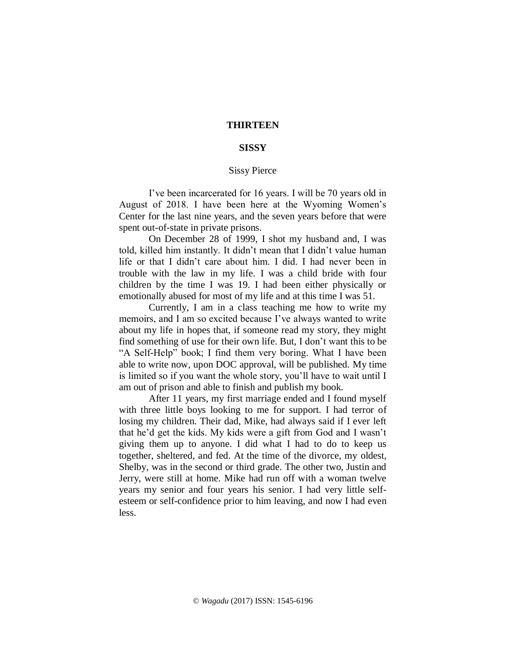## **THIRTEEN**

## **SISSY**

## Sissy Pierce

I've been incarcerated for 16 years. I will be 70 years old in August of 2018. I have been here at the Wyoming Women's Center for the last nine years, and the seven years before that were spent out-of-state in private prisons.

On December 28 of 1999, I shot my husband and, I was told, killed him instantly. It didn't mean that I didn't value human life or that I didn't care about him. I did. I had never been in trouble with the law in my life. I was a child bride with four children by the time I was 19. I had been either physically or emotionally abused for most of my life and at this time I was 51.

Currently, I am in a class teaching me how to write my memoirs, and I am so excited because I've always wanted to write about my life in hopes that, if someone read my story, they might find something of use for their own life. But, I don't want this to be "A Self-Help" book; I find them very boring. What I have been able to write now, upon DOC approval, will be published*.* My time is limited so if you want the whole story, you'll have to wait until I am out of prison and able to finish and publish my book.

After 11 years, my first marriage ended and I found myself with three little boys looking to me for support. I had terror of losing my children. Their dad, Mike, had always said if I ever left that he'd get the kids. My kids were a gift from God and I wasn't giving them up to anyone. I did what I had to do to keep us together, sheltered, and fed. At the time of the divorce, my oldest, Shelby, was in the second or third grade. The other two, Justin and Jerry, were still at home. Mike had run off with a woman twelve years my senior and four years his senior. I had very little selfesteem or self-confidence prior to him leaving, and now I had even less.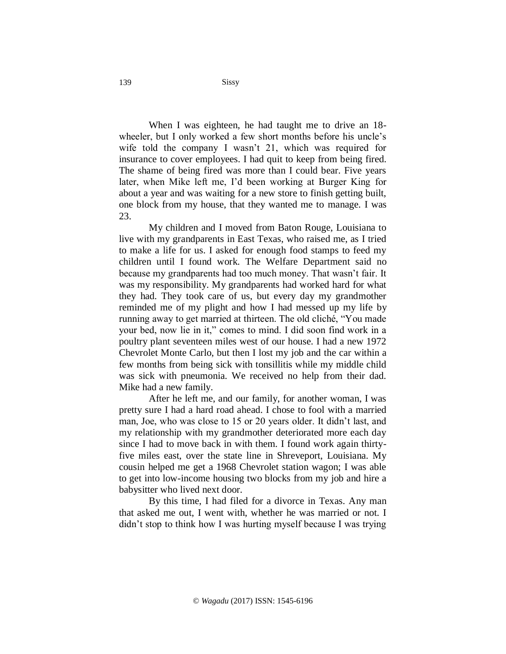When I was eighteen, he had taught me to drive an 18 wheeler, but I only worked a few short months before his uncle's wife told the company I wasn't 21, which was required for insurance to cover employees. I had quit to keep from being fired. The shame of being fired was more than I could bear. Five years later, when Mike left me, I'd been working at Burger King for about a year and was waiting for a new store to finish getting built, one block from my house, that they wanted me to manage. I was 23.

My children and I moved from Baton Rouge, Louisiana to live with my grandparents in East Texas, who raised me, as I tried to make a life for us. I asked for enough food stamps to feed my children until I found work. The Welfare Department said no because my grandparents had too much money. That wasn't fair. It was my responsibility. My grandparents had worked hard for what they had. They took care of us, but every day my grandmother reminded me of my plight and how I had messed up my life by running away to get married at thirteen. The old cliché, "You made your bed, now lie in it," comes to mind. I did soon find work in a poultry plant seventeen miles west of our house. I had a new 1972 Chevrolet Monte Carlo, but then I lost my job and the car within a few months from being sick with tonsillitis while my middle child was sick with pneumonia. We received no help from their dad. Mike had a new family.

After he left me, and our family, for another woman, I was pretty sure I had a hard road ahead. I chose to fool with a married man, Joe, who was close to 15 or 20 years older. It didn't last, and my relationship with my grandmother deteriorated more each day since I had to move back in with them. I found work again thirtyfive miles east, over the state line in Shreveport, Louisiana. My cousin helped me get a 1968 Chevrolet station wagon; I was able to get into low-income housing two blocks from my job and hire a babysitter who lived next door.

By this time, I had filed for a divorce in Texas. Any man that asked me out, I went with, whether he was married or not. I didn't stop to think how I was hurting myself because I was trying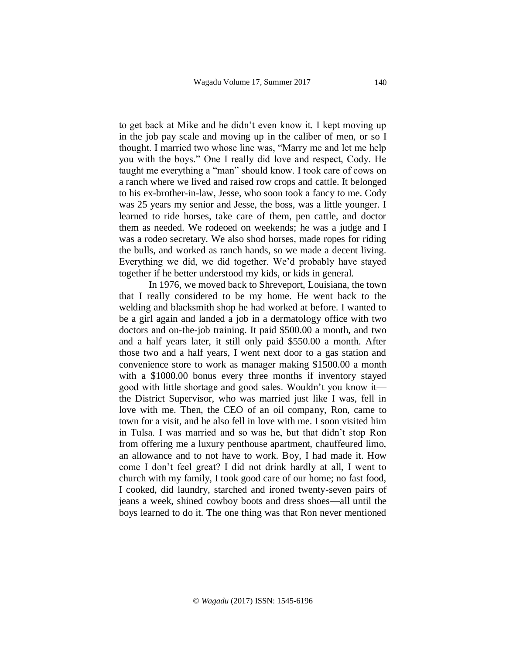to get back at Mike and he didn't even know it. I kept moving up in the job pay scale and moving up in the caliber of men, or so I thought. I married two whose line was, "Marry me and let me help you with the boys." One I really did love and respect, Cody. He taught me everything a "man" should know. I took care of cows on a ranch where we lived and raised row crops and cattle. It belonged to his ex-brother-in-law, Jesse, who soon took a fancy to me. Cody was 25 years my senior and Jesse, the boss, was a little younger. I learned to ride horses, take care of them, pen cattle, and doctor them as needed. We rodeoed on weekends; he was a judge and I was a rodeo secretary. We also shod horses, made ropes for riding the bulls, and worked as ranch hands, so we made a decent living. Everything we did, we did together. We'd probably have stayed together if he better understood my kids, or kids in general.

In 1976, we moved back to Shreveport, Louisiana, the town that I really considered to be my home. He went back to the welding and blacksmith shop he had worked at before. I wanted to be a girl again and landed a job in a dermatology office with two doctors and on-the-job training. It paid \$500.00 a month, and two and a half years later, it still only paid \$550.00 a month. After those two and a half years, I went next door to a gas station and convenience store to work as manager making \$1500.00 a month with a \$1000.00 bonus every three months if inventory stayed good with little shortage and good sales. Wouldn't you know it the District Supervisor, who was married just like I was, fell in love with me. Then, the CEO of an oil company, Ron, came to town for a visit, and he also fell in love with me. I soon visited him in Tulsa. I was married and so was he, but that didn't stop Ron from offering me a luxury penthouse apartment, chauffeured limo, an allowance and to not have to work. Boy, I had made it. How come I don't feel great? I did not drink hardly at all, I went to church with my family, I took good care of our home; no fast food, I cooked, did laundry, starched and ironed twenty-seven pairs of jeans a week, shined cowboy boots and dress shoes—all until the boys learned to do it. The one thing was that Ron never mentioned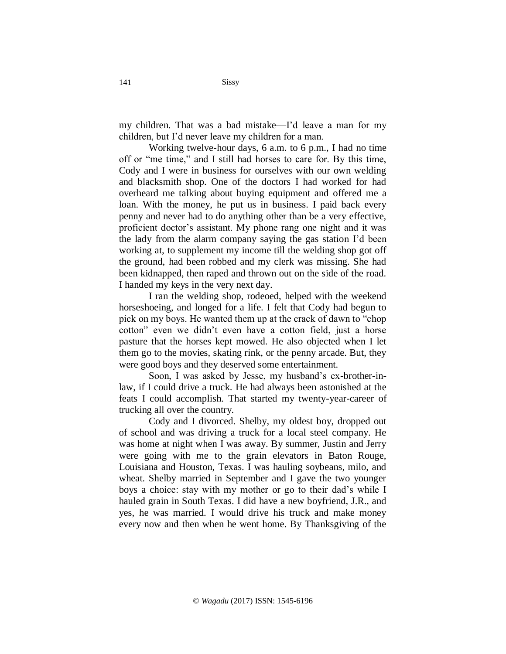my children. That was a bad mistake—I'd leave a man for my children, but I'd never leave my children for a man.

Working twelve-hour days, 6 a.m. to 6 p.m., I had no time off or "me time," and I still had horses to care for. By this time, Cody and I were in business for ourselves with our own welding and blacksmith shop. One of the doctors I had worked for had overheard me talking about buying equipment and offered me a loan. With the money, he put us in business. I paid back every penny and never had to do anything other than be a very effective, proficient doctor's assistant. My phone rang one night and it was the lady from the alarm company saying the gas station I'd been working at, to supplement my income till the welding shop got off the ground, had been robbed and my clerk was missing. She had been kidnapped, then raped and thrown out on the side of the road. I handed my keys in the very next day.

I ran the welding shop, rodeoed, helped with the weekend horseshoeing, and longed for a life. I felt that Cody had begun to pick on my boys. He wanted them up at the crack of dawn to "chop cotton" even we didn't even have a cotton field, just a horse pasture that the horses kept mowed. He also objected when I let them go to the movies, skating rink, or the penny arcade. But, they were good boys and they deserved some entertainment.

Soon, I was asked by Jesse, my husband's ex-brother-inlaw, if I could drive a truck. He had always been astonished at the feats I could accomplish. That started my twenty-year-career of trucking all over the country.

Cody and I divorced. Shelby, my oldest boy, dropped out of school and was driving a truck for a local steel company. He was home at night when I was away. By summer, Justin and Jerry were going with me to the grain elevators in Baton Rouge, Louisiana and Houston, Texas. I was hauling soybeans, milo, and wheat. Shelby married in September and I gave the two younger boys a choice: stay with my mother or go to their dad's while I hauled grain in South Texas. I did have a new boyfriend, J.R., and yes, he was married. I would drive his truck and make money every now and then when he went home. By Thanksgiving of the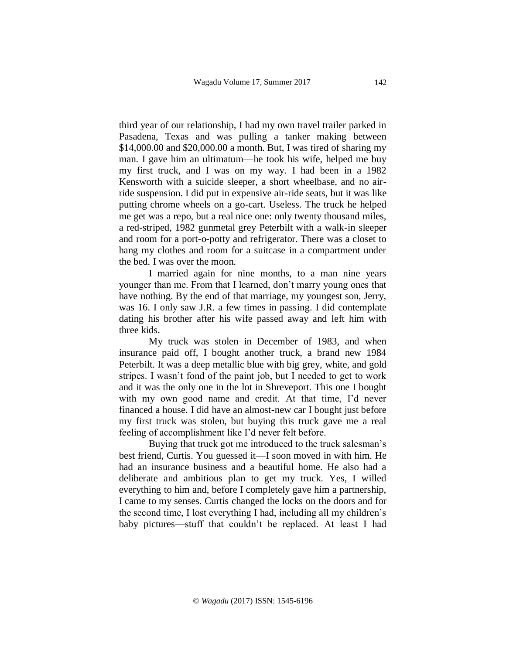third year of our relationship, I had my own travel trailer parked in Pasadena, Texas and was pulling a tanker making between \$14,000.00 and \$20,000.00 a month. But, I was tired of sharing my man. I gave him an ultimatum—he took his wife, helped me buy my first truck, and I was on my way. I had been in a 1982 Kensworth with a suicide sleeper, a short wheelbase, and no airride suspension. I did put in expensive air-ride seats, but it was like putting chrome wheels on a go-cart. Useless. The truck he helped me get was a repo, but a real nice one: only twenty thousand miles, a red-striped, 1982 gunmetal grey Peterbilt with a walk-in sleeper and room for a port-o-potty and refrigerator. There was a closet to hang my clothes and room for a suitcase in a compartment under the bed. I was over the moon.

I married again for nine months, to a man nine years younger than me. From that I learned, don't marry young ones that have nothing. By the end of that marriage, my youngest son, Jerry, was 16. I only saw J.R. a few times in passing. I did contemplate dating his brother after his wife passed away and left him with three kids.

My truck was stolen in December of 1983, and when insurance paid off, I bought another truck, a brand new 1984 Peterbilt. It was a deep metallic blue with big grey, white, and gold stripes. I wasn't fond of the paint job, but I needed to get to work and it was the only one in the lot in Shreveport. This one I bought with my own good name and credit. At that time, I'd never financed a house. I did have an almost-new car I bought just before my first truck was stolen, but buying this truck gave me a real feeling of accomplishment like I'd never felt before.

Buying that truck got me introduced to the truck salesman's best friend, Curtis. You guessed it—I soon moved in with him. He had an insurance business and a beautiful home. He also had a deliberate and ambitious plan to get my truck. Yes, I willed everything to him and, before I completely gave him a partnership, I came to my senses. Curtis changed the locks on the doors and for the second time, I lost everything I had, including all my children's baby pictures—stuff that couldn't be replaced. At least I had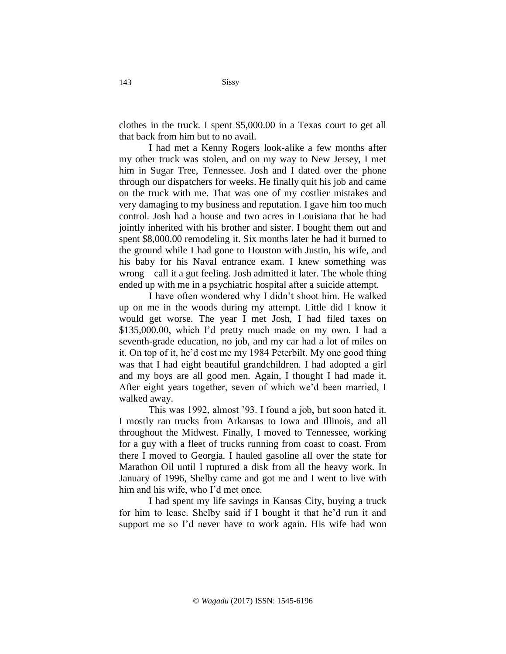clothes in the truck. I spent \$5,000.00 in a Texas court to get all that back from him but to no avail.

I had met a Kenny Rogers look-alike a few months after my other truck was stolen, and on my way to New Jersey, I met him in Sugar Tree, Tennessee. Josh and I dated over the phone through our dispatchers for weeks. He finally quit his job and came on the truck with me. That was one of my costlier mistakes and very damaging to my business and reputation. I gave him too much control. Josh had a house and two acres in Louisiana that he had jointly inherited with his brother and sister. I bought them out and spent \$8,000.00 remodeling it. Six months later he had it burned to the ground while I had gone to Houston with Justin, his wife, and his baby for his Naval entrance exam. I knew something was wrong—call it a gut feeling*.* Josh admitted it later. The whole thing ended up with me in a psychiatric hospital after a suicide attempt.

I have often wondered why I didn't shoot him. He walked up on me in the woods during my attempt. Little did I know it would get worse. The year I met Josh, I had filed taxes on \$135,000.00, which I'd pretty much made on my own. I had a seventh-grade education, no job, and my car had a lot of miles on it. On top of it, he'd cost me my 1984 Peterbilt. My one good thing was that I had eight beautiful grandchildren. I had adopted a girl and my boys are all good men. Again, I thought I had made it. After eight years together, seven of which we'd been married, I walked away.

This was 1992, almost '93. I found a job, but soon hated it. I mostly ran trucks from Arkansas to Iowa and Illinois, and all throughout the Midwest. Finally, I moved to Tennessee, working for a guy with a fleet of trucks running from coast to coast. From there I moved to Georgia. I hauled gasoline all over the state for Marathon Oil until I ruptured a disk from all the heavy work. In January of 1996, Shelby came and got me and I went to live with him and his wife, who I'd met once.

I had spent my life savings in Kansas City, buying a truck for him to lease. Shelby said if I bought it that he'd run it and support me so I'd never have to work again. His wife had won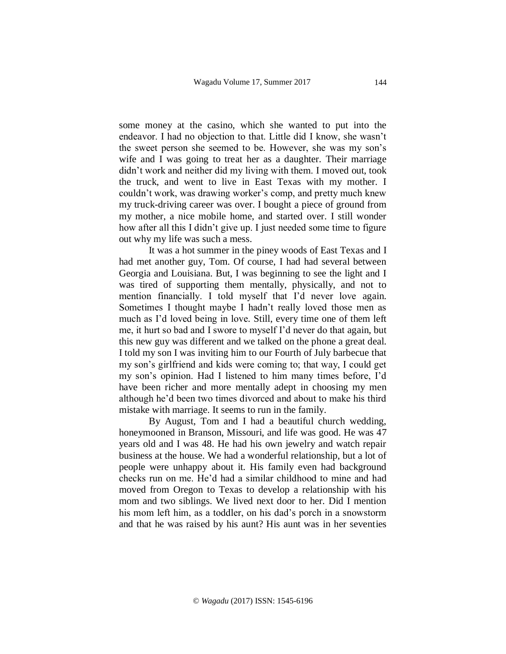some money at the casino, which she wanted to put into the endeavor. I had no objection to that. Little did I know, she wasn't the sweet person she seemed to be. However, she was my son's wife and I was going to treat her as a daughter. Their marriage didn't work and neither did my living with them. I moved out, took the truck, and went to live in East Texas with my mother. I couldn't work, was drawing worker's comp, and pretty much knew my truck-driving career was over. I bought a piece of ground from my mother, a nice mobile home, and started over. I still wonder how after all this I didn't give up. I just needed some time to figure out why my life was such a mess.

It was a hot summer in the piney woods of East Texas and I had met another guy, Tom. Of course, I had had several between Georgia and Louisiana. But, I was beginning to see the light and I was tired of supporting them mentally, physically, and not to mention financially. I told myself that I'd never love again. Sometimes I thought maybe I hadn't really loved those men as much as I'd loved being in love*.* Still, every time one of them left me, it hurt so bad and I swore to myself I'd never do that again, but this new guy was different and we talked on the phone a great deal. I told my son I was inviting him to our Fourth of July barbecue that my son's girlfriend and kids were coming to; that way, I could get my son's opinion. Had I listened to him many times before, I'd have been richer and more mentally adept in choosing my men although he'd been two times divorced and about to make his third mistake with marriage. It seems to run in the family.

By August, Tom and I had a beautiful church wedding, honeymooned in Branson, Missouri, and life was good. He was 47 years old and I was 48. He had his own jewelry and watch repair business at the house. We had a wonderful relationship, but a lot of people were unhappy about it. His family even had background checks run on me. He'd had a similar childhood to mine and had moved from Oregon to Texas to develop a relationship with his mom and two siblings. We lived next door to her. Did I mention his mom left him, as a toddler, on his dad's porch in a snowstorm and that he was raised by his aunt? His aunt was in her seventies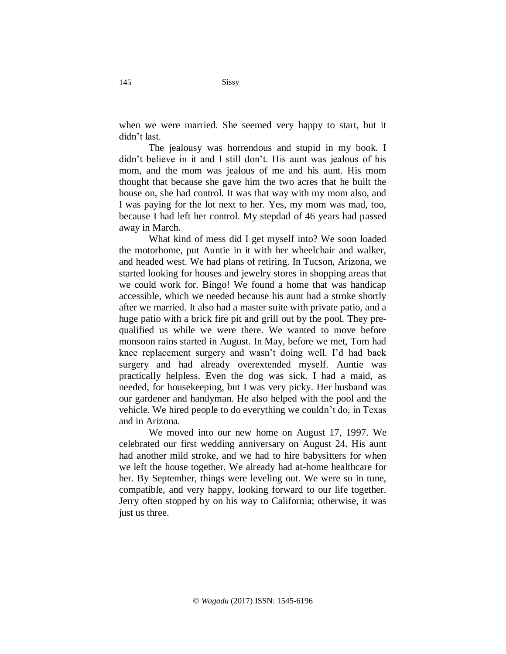when we were married. She seemed very happy to start, but it didn't last.

The jealousy was horrendous and stupid in my book. I didn't believe in it and I still don't. His aunt was jealous of his mom, and the mom was jealous of me and his aunt. His mom thought that because she gave him the two acres that he built the house on, she had control. It was that way with my mom also, and I was paying for the lot next to her. Yes, my mom was mad, too, because I had left her control. My stepdad of 46 years had passed away in March.

What kind of mess did I get myself into? We soon loaded the motorhome, put Auntie in it with her wheelchair and walker, and headed west. We had plans of retiring. In Tucson, Arizona, we started looking for houses and jewelry stores in shopping areas that we could work for. Bingo! We found a home that was handicap accessible, which we needed because his aunt had a stroke shortly after we married. It also had a master suite with private patio, and a huge patio with a brick fire pit and grill out by the pool. They prequalified us while we were there. We wanted to move before monsoon rains started in August. In May, before we met, Tom had knee replacement surgery and wasn't doing well. I'd had back surgery and had already overextended myself. Auntie was practically helpless. Even the dog was sick. I had a maid, as needed, for housekeeping, but I was very picky. Her husband was our gardener and handyman. He also helped with the pool and the vehicle. We hired people to do everything we couldn't do, in Texas and in Arizona.

We moved into our new home on August 17, 1997. We celebrated our first wedding anniversary on August 24. His aunt had another mild stroke, and we had to hire babysitters for when we left the house together. We already had at-home healthcare for her. By September, things were leveling out. We were so in tune, compatible, and very happy, looking forward to our life together. Jerry often stopped by on his way to California; otherwise, it was just us three.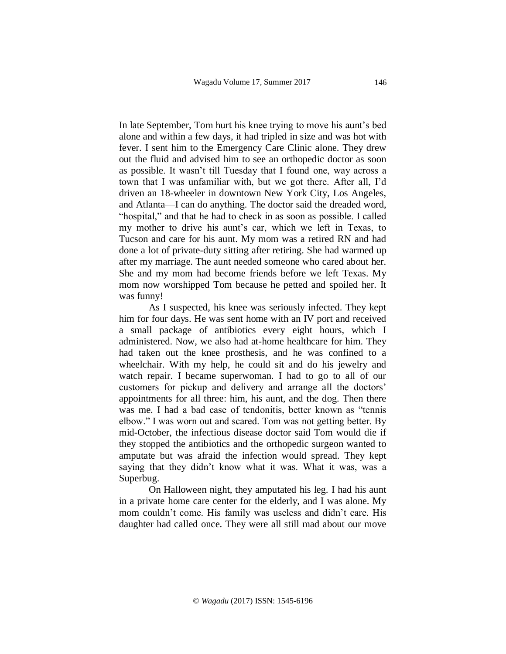In late September, Tom hurt his knee trying to move his aunt's bed alone and within a few days, it had tripled in size and was hot with fever. I sent him to the Emergency Care Clinic alone. They drew out the fluid and advised him to see an orthopedic doctor as soon as possible. It wasn't till Tuesday that I found one, way across a town that I was unfamiliar with, but we got there. After all, I'd driven an 18-wheeler in downtown New York City, Los Angeles, and Atlanta—I can do anything*.* The doctor said the dreaded word, "hospital," and that he had to check in as soon as possible. I called my mother to drive his aunt's car, which we left in Texas, to Tucson and care for his aunt. My mom was a retired RN and had done a lot of private-duty sitting after retiring. She had warmed up after my marriage. The aunt needed someone who cared about her. She and my mom had become friends before we left Texas. My mom now worshipped Tom because he petted and spoiled her. It was funny!

As I suspected, his knee was seriously infected. They kept him for four days. He was sent home with an IV port and received a small package of antibiotics every eight hours, which I administered. Now, we also had at-home healthcare for him. They had taken out the knee prosthesis, and he was confined to a wheelchair. With my help, he could sit and do his jewelry and watch repair. I became superwoman. I had to go to all of our customers for pickup and delivery and arrange all the doctors' appointments for all three: him, his aunt, and the dog. Then there was me. I had a bad case of tendonitis, better known as "tennis elbow." I was worn out and scared. Tom was not getting better. By mid-October, the infectious disease doctor said Tom would die if they stopped the antibiotics and the orthopedic surgeon wanted to amputate but was afraid the infection would spread. They kept saying that they didn't know what it was. What it was, was a Superbug.

On Halloween night, they amputated his leg. I had his aunt in a private home care center for the elderly, and I was alone. My mom couldn't come. His family was useless and didn't care. His daughter had called once. They were all still mad about our move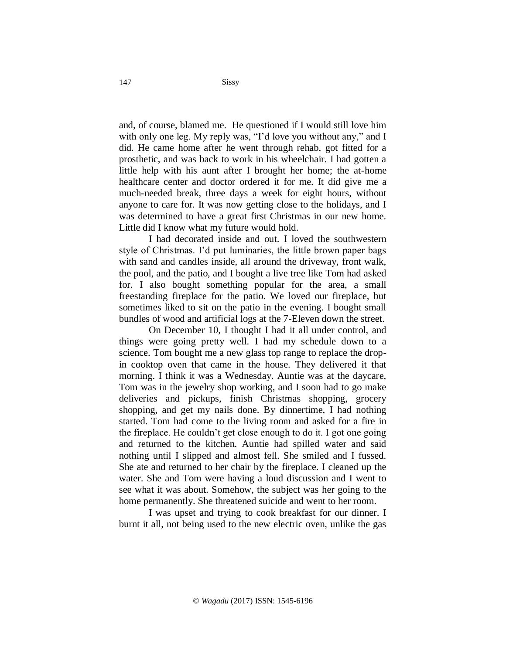and, of course, blamed me. He questioned if I would still love him with only one leg. My reply was, "I'd love you without any," and I did. He came home after he went through rehab, got fitted for a prosthetic, and was back to work in his wheelchair. I had gotten a little help with his aunt after I brought her home; the at-home healthcare center and doctor ordered it for me. It did give me a much-needed break, three days a week for eight hours, without anyone to care for. It was now getting close to the holidays, and I was determined to have a great first Christmas in our new home. Little did I know what my future would hold*.* 

I had decorated inside and out. I loved the southwestern style of Christmas. I'd put luminaries, the little brown paper bags with sand and candles inside, all around the driveway, front walk, the pool, and the patio, and I bought a live tree like Tom had asked for. I also bought something popular for the area, a small freestanding fireplace for the patio. We loved our fireplace, but sometimes liked to sit on the patio in the evening. I bought small bundles of wood and artificial logs at the 7-Eleven down the street.

On December 10, I thought I had it all under control, and things were going pretty well. I had my schedule down to a science. Tom bought me a new glass top range to replace the dropin cooktop oven that came in the house. They delivered it that morning. I think it was a Wednesday. Auntie was at the daycare, Tom was in the jewelry shop working, and I soon had to go make deliveries and pickups, finish Christmas shopping, grocery shopping, and get my nails done. By dinnertime, I had nothing started. Tom had come to the living room and asked for a fire in the fireplace. He couldn't get close enough to do it. I got one going and returned to the kitchen. Auntie had spilled water and said nothing until I slipped and almost fell. She smiled and I fussed. She ate and returned to her chair by the fireplace. I cleaned up the water. She and Tom were having a loud discussion and I went to see what it was about. Somehow, the subject was her going to the home permanently. She threatened suicide and went to her room.

I was upset and trying to cook breakfast for our dinner. I burnt it all, not being used to the new electric oven, unlike the gas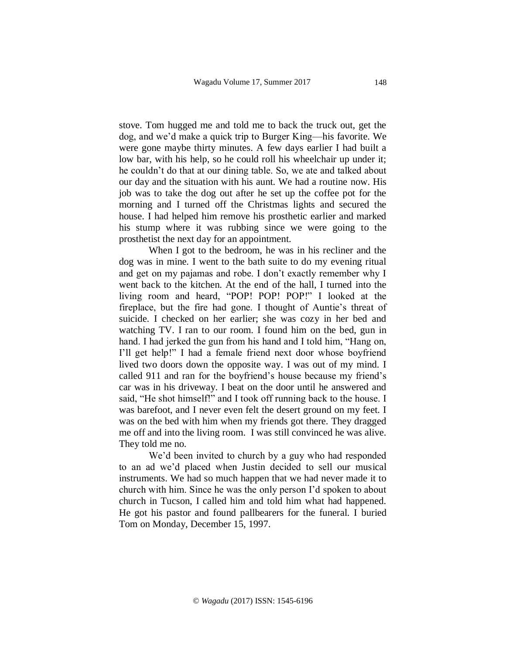stove. Tom hugged me and told me to back the truck out, get the dog, and we'd make a quick trip to Burger King—his favorite. We were gone maybe thirty minutes. A few days earlier I had built a low bar, with his help, so he could roll his wheelchair up under it; he couldn't do that at our dining table. So, we ate and talked about our day and the situation with his aunt. We had a routine now. His job was to take the dog out after he set up the coffee pot for the morning and I turned off the Christmas lights and secured the house. I had helped him remove his prosthetic earlier and marked his stump where it was rubbing since we were going to the prosthetist the next day for an appointment.

When I got to the bedroom, he was in his recliner and the dog was in mine. I went to the bath suite to do my evening ritual and get on my pajamas and robe. I don't exactly remember why I went back to the kitchen. At the end of the hall, I turned into the living room and heard, "POP! POP! POP!" I looked at the fireplace, but the fire had gone. I thought of Auntie's threat of suicide. I checked on her earlier; she was cozy in her bed and watching TV. I ran to our room. I found him on the bed, gun in hand. I had jerked the gun from his hand and I told him, "Hang on, I'll get help!" I had a female friend next door whose boyfriend lived two doors down the opposite way. I was out of my mind. I called 911 and ran for the boyfriend's house because my friend's car was in his driveway. I beat on the door until he answered and said, "He shot himself!" and I took off running back to the house. I was barefoot, and I never even felt the desert ground on my feet. I was on the bed with him when my friends got there. They dragged me off and into the living room. I was still convinced he was alive. They told me no.

We'd been invited to church by a guy who had responded to an ad we'd placed when Justin decided to sell our musical instruments. We had so much happen that we had never made it to church with him. Since he was the only person I'd spoken to about church in Tucson, I called him and told him what had happened. He got his pastor and found pallbearers for the funeral. I buried Tom on Monday, December 15, 1997.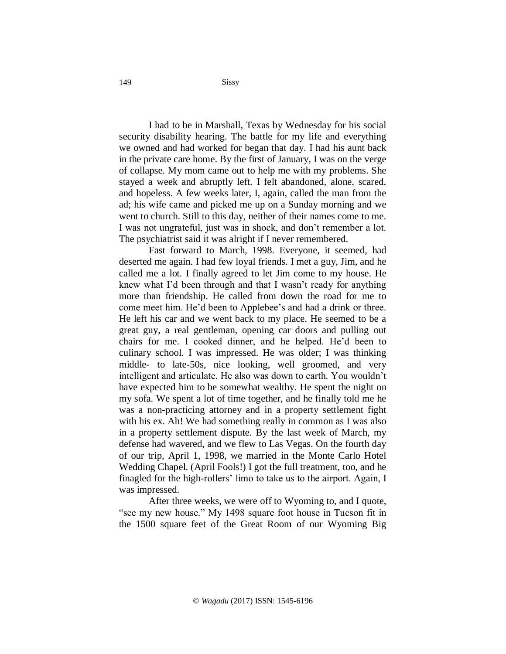I had to be in Marshall, Texas by Wednesday for his social security disability hearing. The battle for my life and everything we owned and had worked for began that day. I had his aunt back in the private care home. By the first of January, I was on the verge of collapse. My mom came out to help me with my problems. She stayed a week and abruptly left. I felt abandoned, alone, scared, and hopeless. A few weeks later, I, again, called the man from the ad; his wife came and picked me up on a Sunday morning and we went to church. Still to this day, neither of their names come to me. I was not ungrateful, just was in shock, and don't remember a lot. The psychiatrist said it was alright if I never remembered.

Fast forward to March, 1998. Everyone, it seemed, had deserted me again. I had few loyal friends. I met a guy, Jim, and he called me a lot. I finally agreed to let Jim come to my house. He knew what I'd been through and that I wasn't ready for anything more than friendship. He called from down the road for me to come meet him. He'd been to Applebee's and had a drink or three. He left his car and we went back to my place. He seemed to be a great guy, a real gentleman, opening car doors and pulling out chairs for me. I cooked dinner, and he helped. He'd been to culinary school. I was impressed. He was older; I was thinking middle- to late-50s, nice looking, well groomed, and very intelligent and articulate. He also was down to earth. You wouldn't have expected him to be somewhat wealthy. He spent the night on my sofa. We spent a lot of time together, and he finally told me he was a non-practicing attorney and in a property settlement fight with his ex. Ah! We had something really in common as I was also in a property settlement dispute. By the last week of March, my defense had wavered, and we flew to Las Vegas. On the fourth day of our trip, April 1, 1998, we married in the Monte Carlo Hotel Wedding Chapel. (April Fools!) I got the full treatment, too, and he finagled for the high-rollers' limo to take us to the airport. Again, I was impressed.

After three weeks, we were off to Wyoming to, and I quote, "see my new house." My 1498 square foot house in Tucson fit in the 1500 square feet of the Great Room of our Wyoming Big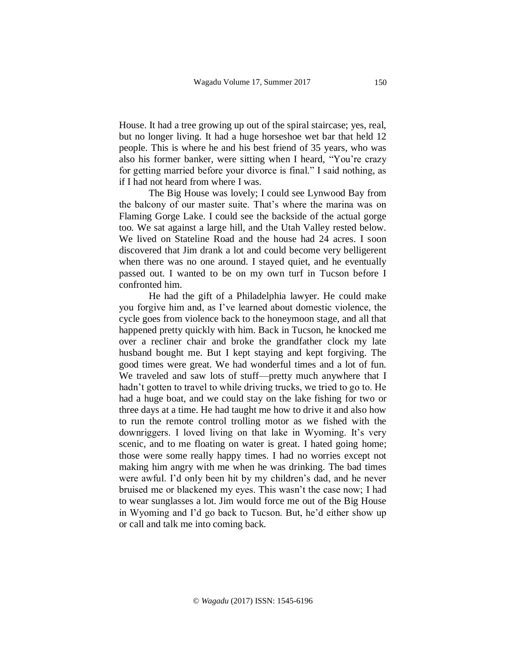House. It had a tree growing up out of the spiral staircase; yes, real, but no longer living. It had a huge horseshoe wet bar that held 12 people. This is where he and his best friend of 35 years, who was also his former banker, were sitting when I heard, "You're crazy for getting married before your divorce is final." I said nothing, as if I had not heard from where I was.

The Big House was lovely; I could see Lynwood Bay from the balcony of our master suite. That's where the marina was on Flaming Gorge Lake. I could see the backside of the actual gorge too. We sat against a large hill, and the Utah Valley rested below. We lived on Stateline Road and the house had 24 acres. I soon discovered that Jim drank a lot and could become very belligerent when there was no one around. I stayed quiet, and he eventually passed out. I wanted to be on my own turf in Tucson before I confronted him.

He had the gift of a Philadelphia lawyer. He could make you forgive him and, as I've learned about domestic violence, the cycle goes from violence back to the honeymoon stage, and all that happened pretty quickly with him. Back in Tucson, he knocked me over a recliner chair and broke the grandfather clock my late husband bought me. But I kept staying and kept forgiving. The good times were great. We had wonderful times and a lot of fun. We traveled and saw lots of stuff—pretty much anywhere that I hadn't gotten to travel to while driving trucks, we tried to go to. He had a huge boat, and we could stay on the lake fishing for two or three days at a time. He had taught me how to drive it and also how to run the remote control trolling motor as we fished with the downriggers. I loved living on that lake in Wyoming. It's very scenic, and to me floating on water is great*.* I hated going home; those were some really happy times. I had no worries except not making him angry with me when he was drinking. The bad times were awful. I'd only been hit by my children's dad, and he never bruised me or blackened my eyes. This wasn't the case now; I had to wear sunglasses a lot. Jim would force me out of the Big House in Wyoming and I'd go back to Tucson. But, he'd either show up or call and talk me into coming back.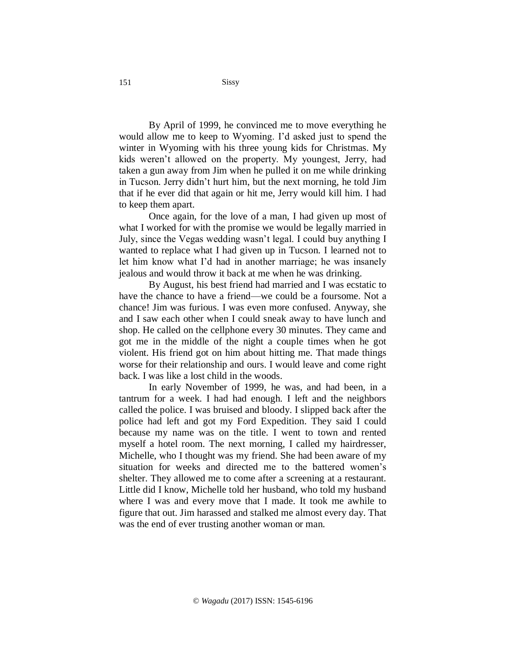By April of 1999, he convinced me to move everything he would allow me to keep to Wyoming. I'd asked just to spend the winter in Wyoming with his three young kids for Christmas. My kids weren't allowed on the property. My youngest, Jerry, had taken a gun away from Jim when he pulled it on me while drinking in Tucson. Jerry didn't hurt him, but the next morning, he told Jim that if he ever did that again or hit me, Jerry would kill him. I had to keep them apart.

Once again, for the love of a man, I had given up most of what I worked for with the promise we would be legally married in July, since the Vegas wedding wasn't legal. I could buy anything I wanted to replace what I had given up in Tucson. I learned not to let him know what I'd had in another marriage; he was insanely jealous and would throw it back at me when he was drinking.

By August, his best friend had married and I was ecstatic to have the chance to have a friend—we could be a foursome. Not a chance! Jim was furious. I was even more confused. Anyway, she and I saw each other when I could sneak away to have lunch and shop. He called on the cellphone every 30 minutes. They came and got me in the middle of the night a couple times when he got violent. His friend got on him about hitting me. That made things worse for their relationship and ours. I would leave and come right back. I was like a lost child in the woods.

In early November of 1999, he was, and had been, in a tantrum for a week. I had had enough. I left and the neighbors called the police. I was bruised and bloody. I slipped back after the police had left and got my Ford Expedition. They said I could because my name was on the title. I went to town and rented myself a hotel room. The next morning, I called my hairdresser, Michelle, who I thought was my friend. She had been aware of my situation for weeks and directed me to the battered women's shelter. They allowed me to come after a screening at a restaurant. Little did I know, Michelle told her husband, who told my husband where I was and every move that I made. It took me awhile to figure that out. Jim harassed and stalked me almost every day. That was the end of ever trusting another woman or man.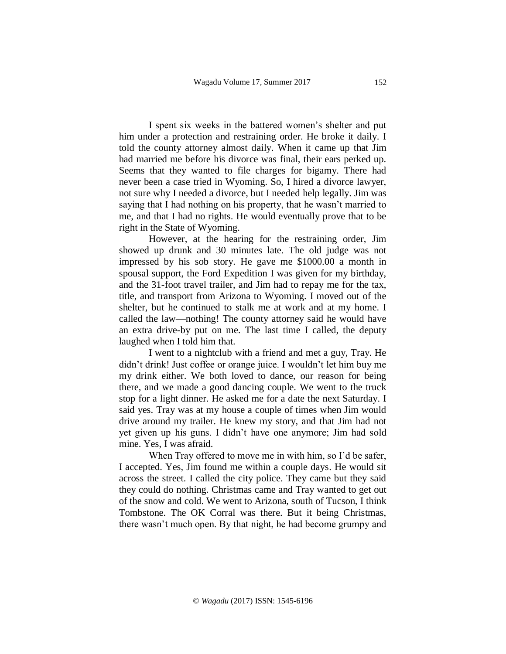I spent six weeks in the battered women's shelter and put him under a protection and restraining order. He broke it daily. I told the county attorney almost daily. When it came up that Jim had married me before his divorce was final, their ears perked up. Seems that they wanted to file charges for bigamy. There had never been a case tried in Wyoming. So, I hired a divorce lawyer, not sure why I needed a divorce, but I needed help legally. Jim was saying that I had nothing on his property, that he wasn't married to me, and that I had no rights. He would eventually prove that to be right in the State of Wyoming.

However, at the hearing for the restraining order, Jim showed up drunk and 30 minutes late. The old judge was not impressed by his sob story. He gave me \$1000.00 a month in spousal support, the Ford Expedition I was given for my birthday, and the 31-foot travel trailer, and Jim had to repay me for the tax, title, and transport from Arizona to Wyoming. I moved out of the shelter, but he continued to stalk me at work and at my home. I called the law—nothing! The county attorney said he would have an extra drive-by put on me. The last time I called, the deputy laughed when I told him that.

I went to a nightclub with a friend and met a guy, Tray. He didn't drink! Just coffee or orange juice. I wouldn't let him buy me my drink either. We both loved to dance, our reason for being there, and we made a good dancing couple. We went to the truck stop for a light dinner. He asked me for a date the next Saturday. I said yes. Tray was at my house a couple of times when Jim would drive around my trailer. He knew my story, and that Jim had not yet given up his guns. I didn't have one anymore; Jim had sold mine. Yes, I was afraid.

When Tray offered to move me in with him, so I'd be safer, I accepted. Yes, Jim found me within a couple days. He would sit across the street. I called the city police. They came but they said they could do nothing. Christmas came and Tray wanted to get out of the snow and cold. We went to Arizona, south of Tucson, I think Tombstone. The OK Corral was there. But it being Christmas, there wasn't much open. By that night, he had become grumpy and